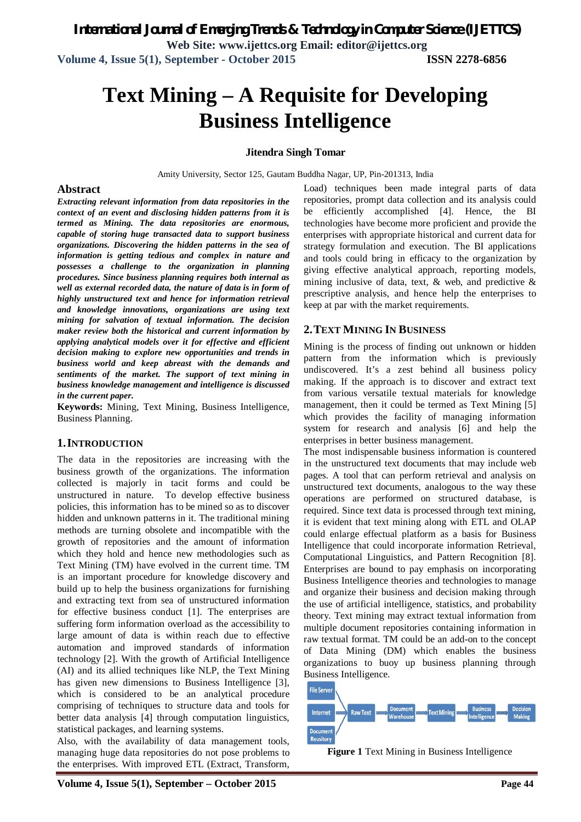# **Text Mining – A Requisite for Developing Business Intelligence**

#### **Jitendra Singh Tomar**

Amity University, Sector 125, Gautam Buddha Nagar, UP, Pin-201313, India

#### **Abstract**

*Extracting relevant information from data repositories in the context of an event and disclosing hidden patterns from it is termed as Mining. The data repositories are enormous, capable of storing huge transacted data to support business organizations. Discovering the hidden patterns in the sea of information is getting tedious and complex in nature and possesses a challenge to the organization in planning procedures. Since business planning requires both internal as well as external recorded data, the nature of data is in form of highly unstructured text and hence for information retrieval and knowledge innovations, organizations are using text mining for salvation of textual information. The decision maker review both the historical and current information by applying analytical models over it for effective and efficient decision making to explore new opportunities and trends in business world and keep abreast with the demands and sentiments of the market. The support of text mining in business knowledge management and intelligence is discussed in the current paper.*

**Keywords:** Mining, Text Mining, Business Intelligence, Business Planning.

#### **1.INTRODUCTION**

The data in the repositories are increasing with the business growth of the organizations. The information collected is majorly in tacit forms and could be unstructured in nature. To develop effective business policies, this information has to be mined so as to discover hidden and unknown patterns in it. The traditional mining methods are turning obsolete and incompatible with the growth of repositories and the amount of information which they hold and hence new methodologies such as Text Mining (TM) have evolved in the current time. TM is an important procedure for knowledge discovery and build up to help the business organizations for furnishing and extracting text from sea of unstructured information for effective business conduct [1]. The enterprises are suffering form information overload as the accessibility to large amount of data is within reach due to effective automation and improved standards of information technology [2]. With the growth of Artificial Intelligence (AI) and its allied techniques like NLP, the Text Mining has given new dimensions to Business Intelligence [3], which is considered to be an analytical procedure comprising of techniques to structure data and tools for better data analysis [4] through computation linguistics, statistical packages, and learning systems.

Also, with the availability of data management tools, managing huge data repositories do not pose problems to the enterprises. With improved ETL (Extract, Transform,

Load) techniques been made integral parts of data repositories, prompt data collection and its analysis could be efficiently accomplished [4]. Hence, the BI technologies have become more proficient and provide the enterprises with appropriate historical and current data for strategy formulation and execution. The BI applications and tools could bring in efficacy to the organization by giving effective analytical approach, reporting models, mining inclusive of data, text,  $\&$  web, and predictive  $\&$ prescriptive analysis, and hence help the enterprises to keep at par with the market requirements.

#### **2.TEXT MINING IN BUSINESS**

Mining is the process of finding out unknown or hidden pattern from the information which is previously undiscovered. It's a zest behind all business policy making. If the approach is to discover and extract text from various versatile textual materials for knowledge management, then it could be termed as Text Mining [5] which provides the facility of managing information system for research and analysis [6] and help the enterprises in better business management.

The most indispensable business information is countered in the unstructured text documents that may include web pages. A tool that can perform retrieval and analysis on unstructured text documents, analogous to the way these operations are performed on structured database, is required. Since text data is processed through text mining, it is evident that text mining along with ETL and OLAP could enlarge effectual platform as a basis for Business Intelligence that could incorporate information Retrieval, Computational Linguistics, and Pattern Recognition [8]. Enterprises are bound to pay emphasis on incorporating Business Intelligence theories and technologies to manage and organize their business and decision making through the use of artificial intelligence, statistics, and probability theory. Text mining may extract textual information from multiple document repositories containing information in raw textual format. TM could be an add-on to the concept of Data Mining (DM) which enables the business organizations to buoy up business planning through Business Intelligence.



**Figure 1** Text Mining in Business Intelligence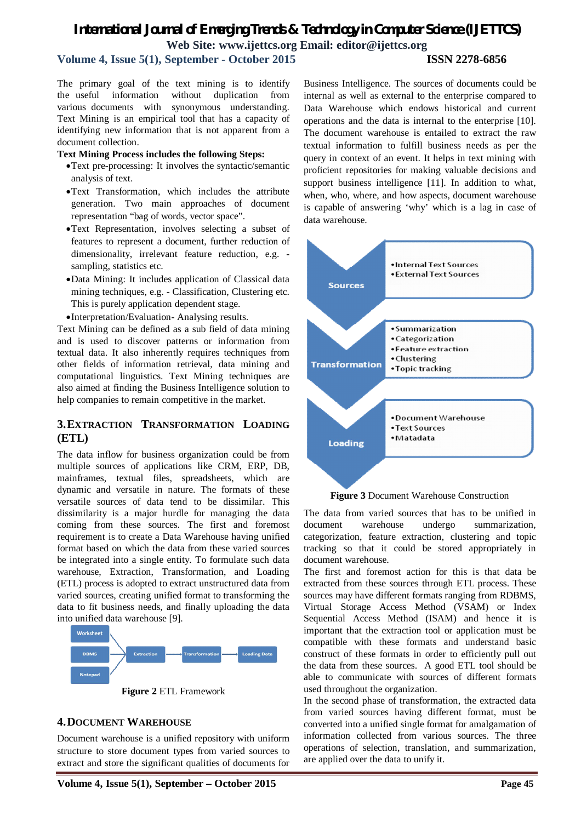# *International Journal of Emerging Trends & Technology in Computer Science (IJETTCS)* **Web Site: www.ijettcs.org Email: editor@ijettcs.org**

# **Volume 4, Issue 5(1), September - October 2015 ISSN 2278-6856**

The primary goal of the text mining is to identify the useful information without duplication from various documents with synonymous understanding. Text Mining is an empirical tool that has a capacity of identifying new information that is not apparent from a document collection.

#### **Text Mining Process includes the following Steps:**

- Text pre-processing: It involves the syntactic/semantic analysis of text.
- Text Transformation, which includes the attribute generation. Two main approaches of document representation "bag of words, vector space".
- Text Representation, involves selecting a subset of features to represent a document, further reduction of dimensionality, irrelevant feature reduction, e.g. sampling, statistics etc.
- Data Mining: It includes application of Classical data mining techniques, e.g. - Classification, Clustering etc. This is purely application dependent stage.
- Interpretation/Evaluation- Analysing results.

Text Mining can be defined as a sub field of data mining and is used to discover patterns or information from textual data. It also inherently requires techniques from other fields of information retrieval, data mining and computational linguistics. Text Mining techniques are also aimed at finding the Business Intelligence solution to help companies to remain competitive in the market.

### **3.EXTRACTION TRANSFORMATION LOADING (ETL)**

The data inflow for business organization could be from multiple sources of applications like CRM, ERP, DB, mainframes, textual files, spreadsheets, which are dynamic and versatile in nature. The formats of these versatile sources of data tend to be dissimilar. This dissimilarity is a major hurdle for managing the data coming from these sources. The first and foremost requirement is to create a Data Warehouse having unified format based on which the data from these varied sources be integrated into a single entity. To formulate such data warehouse, Extraction, Transformation, and Loading (ETL) process is adopted to extract unstructured data from varied sources, creating unified format to transforming the data to fit business needs, and finally uploading the data into unified data warehouse [9].



**Figure 2** ETL Framework

## **4.DOCUMENT WAREHOUSE**

Document warehouse is a unified repository with uniform structure to store document types from varied sources to extract and store the significant qualities of documents for

Business Intelligence. The sources of documents could be internal as well as external to the enterprise compared to Data Warehouse which endows historical and current operations and the data is internal to the enterprise [10]. The document warehouse is entailed to extract the raw textual information to fulfill business needs as per the query in context of an event. It helps in text mining with proficient repositories for making valuable decisions and support business intelligence [11]. In addition to what, when, who, where, and how aspects, document warehouse is capable of answering 'why' which is a lag in case of data warehouse.



**Figure 3** Document Warehouse Construction

The data from varied sources that has to be unified in document warehouse undergo summarization, categorization, feature extraction, clustering and topic tracking so that it could be stored appropriately in document warehouse.

The first and foremost action for this is that data be extracted from these sources through ETL process. These sources may have different formats ranging from RDBMS, Virtual Storage Access Method (VSAM) or Index Sequential Access Method (ISAM) and hence it is important that the extraction tool or application must be compatible with these formats and understand basic construct of these formats in order to efficiently pull out the data from these sources. A good ETL tool should be able to communicate with sources of different formats used throughout the organization.

In the second phase of transformation, the extracted data from varied sources having different format, must be converted into a unified single format for amalgamation of information collected from various sources. The three operations of selection, translation, and summarization, are applied over the data to unify it.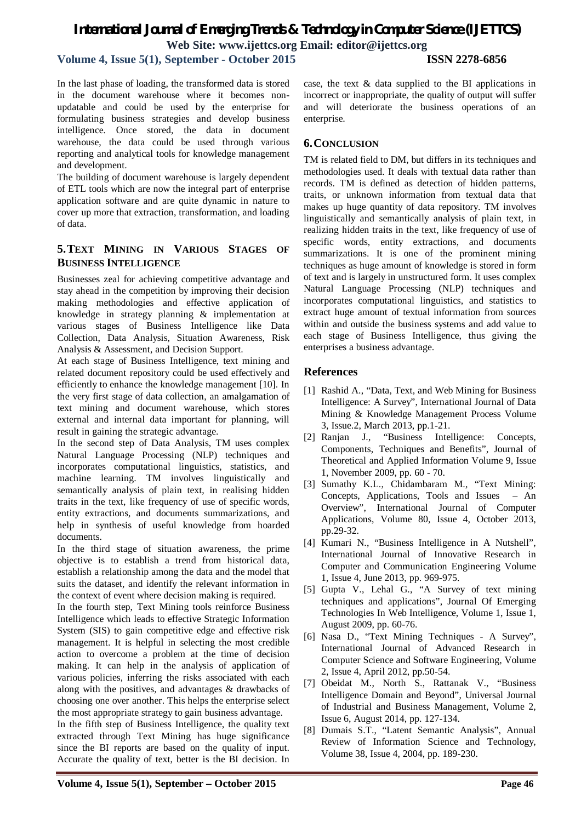# *International Journal of Emerging Trends & Technology in Computer Science (IJETTCS)* **Web Site: www.ijettcs.org Email: editor@ijettcs.org**

**Volume 4, Issue 5(1), September - October 2015 ISSN 2278-6856**

In the last phase of loading, the transformed data is stored in the document warehouse where it becomes nonupdatable and could be used by the enterprise for formulating business strategies and develop business intelligence. Once stored, the data in document warehouse, the data could be used through various reporting and analytical tools for knowledge management and development.

The building of document warehouse is largely dependent of ETL tools which are now the integral part of enterprise application software and are quite dynamic in nature to cover up more that extraction, transformation, and loading of data.

# **5.TEXT MINING IN VARIOUS STAGES OF BUSINESS INTELLIGENCE**

Businesses zeal for achieving competitive advantage and stay ahead in the competition by improving their decision making methodologies and effective application of knowledge in strategy planning & implementation at various stages of Business Intelligence like Data Collection, Data Analysis, Situation Awareness, Risk Analysis & Assessment, and Decision Support.

At each stage of Business Intelligence, text mining and related document repository could be used effectively and efficiently to enhance the knowledge management [10]. In the very first stage of data collection, an amalgamation of text mining and document warehouse, which stores external and internal data important for planning, will result in gaining the strategic advantage.

In the second step of Data Analysis, TM uses complex Natural Language Processing (NLP) techniques and incorporates computational linguistics, statistics, and machine learning. TM involves linguistically and semantically analysis of plain text, in realising hidden traits in the text, like frequency of use of specific words, entity extractions, and documents summarizations, and help in synthesis of useful knowledge from hoarded documents.

In the third stage of situation awareness, the prime objective is to establish a trend from historical data, establish a relationship among the data and the model that suits the dataset, and identify the relevant information in the context of event where decision making is required.

In the fourth step, Text Mining tools reinforce Business Intelligence which leads to effective Strategic Information System (SIS) to gain competitive edge and effective risk management. It is helpful in selecting the most credible action to overcome a problem at the time of decision making. It can help in the analysis of application of various policies, inferring the risks associated with each along with the positives, and advantages & drawbacks of choosing one over another. This helps the enterprise select the most appropriate strategy to gain business advantage.

In the fifth step of Business Intelligence, the quality text extracted through Text Mining has huge significance since the BI reports are based on the quality of input. Accurate the quality of text, better is the BI decision. In

case, the text  $\&$  data supplied to the BI applications in incorrect or inappropriate, the quality of output will suffer and will deteriorate the business operations of an enterprise.

# **6.CONCLUSION**

TM is related field to DM, but differs in its techniques and methodologies used. It deals with textual data rather than records. TM is defined as detection of hidden patterns, traits, or unknown information from textual data that makes up huge quantity of data repository. TM involves linguistically and semantically analysis of plain text, in realizing hidden traits in the text, like frequency of use of specific words, entity extractions, and documents summarizations. It is one of the prominent mining techniques as huge amount of knowledge is stored in form of text and is largely in unstructured form. It uses complex Natural Language Processing (NLP) techniques and incorporates computational linguistics, and statistics to extract huge amount of textual information from sources within and outside the business systems and add value to each stage of Business Intelligence, thus giving the enterprises a business advantage.

# **References**

- [1] Rashid A., "Data, Text, and Web Mining for Business Intelligence: A Survey", International Journal of Data Mining & Knowledge Management Process Volume 3, Issue.2, March 2013, pp.1-21.
- [2] Ranjan J., "Business Intelligence: Concepts, Components, Techniques and Benefits", Journal of Theoretical and Applied Information Volume 9, Issue 1, November 2009, pp. 60 - 70.
- [3] Sumathy K.L., Chidambaram M., "Text Mining: Concepts, Applications, Tools and Issues – An Overview", International Journal of Computer Applications, Volume 80, Issue 4, October 2013, pp.29-32.
- [4] Kumari N., "Business Intelligence in A Nutshell", International Journal of Innovative Research in Computer and Communication Engineering Volume 1, Issue 4, June 2013, pp. 969-975.
- [5] Gupta V., Lehal G., "A Survey of text mining techniques and applications", Journal Of Emerging Technologies In Web Intelligence, Volume 1, Issue 1, August 2009, pp. 60-76.
- [6] Nasa D., "Text Mining Techniques A Survey", International Journal of Advanced Research in Computer Science and Software Engineering, Volume 2, Issue 4, April 2012, pp.50-54.
- [7] Obeidat M., North S., Rattanak V., "Business Intelligence Domain and Beyond", Universal Journal of Industrial and Business Management, Volume 2, Issue 6, August 2014, pp. 127-134.
- [8] Dumais S.T., "Latent Semantic Analysis", Annual Review of Information Science and Technology, Volume 38, Issue 4, 2004, pp. 189-230.